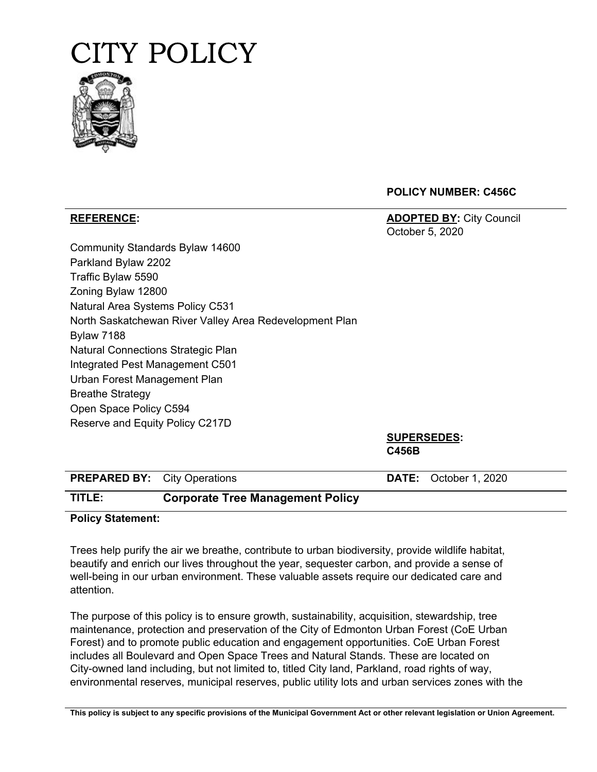



**POLICY NUMBER: C456C**

**REFERENCE: ADOPTED BY:** City Council October 5, 2020

| Community Standards Bylaw 14600                         |
|---------------------------------------------------------|
| Parkland Bylaw 2202                                     |
| Traffic Bylaw 5590                                      |
| Zoning Bylaw 12800                                      |
| Natural Area Systems Policy C531                        |
| North Saskatchewan River Valley Area Redevelopment Plan |
| <b>Bylaw 7188</b>                                       |
| <b>Natural Connections Strategic Plan</b>               |
| Integrated Pest Management C501                         |
| Urban Forest Management Plan                            |
| <b>Breathe Strategy</b>                                 |
| Open Space Policy C594                                  |
| Reserve and Equity Policy C217D                         |

**SUPERSEDES: C456B**

| <b>PREPARED BY:</b> City Operations |                                         | <b>DATE:</b> October 1, 2020 |
|-------------------------------------|-----------------------------------------|------------------------------|
| TITLE:                              | <b>Corporate Tree Management Policy</b> |                              |

## **Policy Statement:**

Trees help purify the air we breathe, contribute to urban biodiversity, provide wildlife habitat, beautify and enrich our lives throughout the year, sequester carbon, and provide a sense of well-being in our urban environment. These valuable assets require our dedicated care and attention.

The purpose of this policy is to ensure growth, sustainability, acquisition, stewardship, tree maintenance, protection and preservation of the City of Edmonton Urban Forest (CoE Urban Forest) and to promote public education and engagement opportunities. CoE Urban Forest includes all Boulevard and Open Space Trees and Natural Stands. These are located on City-owned land including, but not limited to, titled City land, Parkland, road rights of way, environmental reserves, municipal reserves, public utility lots and urban services zones with the

This policy is subject to any specific provisions of the Municipal Government Act or other relevant legislation or Union Agreement.